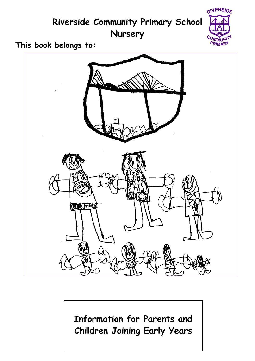

**Information for Parents and Children Joining Early Years**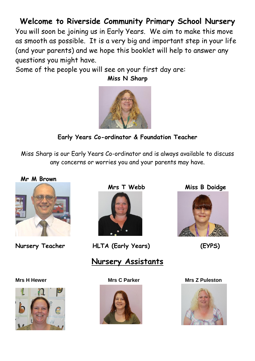# **Welcome to Riverside Community Primary School Nursery**

You will soon be joining us in Early Years. We aim to make this move as smooth as possible. It is a very big and important step in your life (and your parents) and we hope this booklet will help to answer any questions you might have.

**Miss N Sharp**

Some of the people you will see on your first day are:

**Early Years Co-ordinator & Foundation Teacher** 

Miss Sharp is our Early Years Co-ordinator and is always available to discuss any concerns or worries you and your parents may have.

 **Mr M Brown**





**Nursery Teacher HLTA (Early Years) (EYPS)**

# **Nursery Assistants**



**Mrs T Webb Miss B Doidge** 





**Mrs H Hewer Mrs C Parker Mrs Z Puleston**

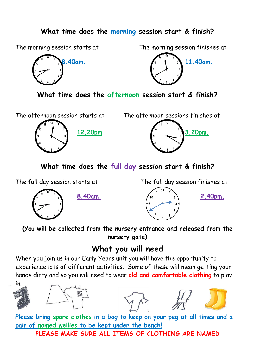#### **What time does the morning session start & finish?**



The morning session starts at The morning session finishes at



**What time does the afternoon session start & finish?**

The afternoon session starts at The afternoon sessions finishes at





**What time does the full day session start & finish?**

The full day session starts at The full day session finishes at





**(You will be collected from the nursery entrance and released from the nursery gate)**

# **What you will need**

When you join us in our Early Years unit you will have the opportunity to experience lots of different activities. Some of these will mean getting your hands dirty and so you will need to wear **old and comfortable clothing** to play







**Please bring spare clothes in a bag to keep on your peg at all times and a pair of named wellies to be kept under the bench!**

**PLEASE MAKE SURE ALL ITEMS OF CLOTHING ARE NAMED**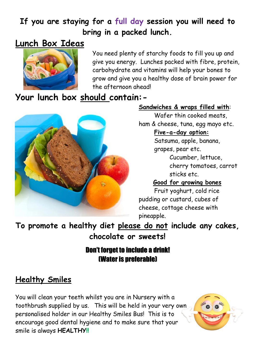# **If you are staying for a full day session you will need to bring in a packed lunch.**

# **Lunch Box Ideas**



You need plenty of starchy foods to fill you up and give you energy. Lunches packed with fibre, protein, carbohydrate and vitamins will help your bones to grow and give you a healthy dose of brain power for the afternoon ahead!

# **Your lunch box should contain:-**



#### **Sandwiches & wraps filled with**:

Wafer thin cooked meats, ham & cheese, tuna, egg mayo etc.

#### **Five-a-day option:**

Satsuma, apple, banana, grapes, pear etc.

> Cucumber, lettuce, cherry tomatoes, carrot sticks etc.

#### **Good for growing bones**

Fruit yoghurt, cold rice pudding or custard, cubes of cheese, cottage cheese with pineapple.

**To promote a healthy diet please do not include any cakes, chocolate or sweets!**

### Don't forget to include a drink! (Water is preferable)

# **Healthy Smiles**

You will clean your teeth whilst you are in Nursery with a toothbrush supplied by us. This will be held in your very own personalised holder in our Healthy Smiles Bus! This is to encourage good dental hygiene and to make sure that your smile is always **HEALTHY!!**

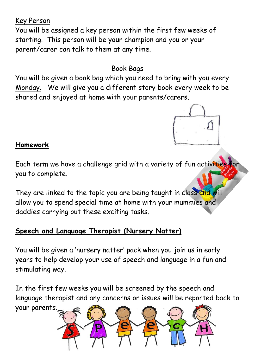Key Person You will be assigned a key person within the first few weeks of starting. This person will be your champion and you or your parent/carer can talk to them at any time.

# Book Bags

You will be given a book bag which you need to bring with you every Monday. We will give you a different story book every week to be shared and enjoyed at home with your parents/carers.



### **Homework**

Each term we have a challenge grid with a variety of fun activities for you to complete.

They are linked to the topic you are being taught in class and will allow you to spend special time at home with your mummies and daddies carrying out these exciting tasks.

# **Speech and Language Therapist (Nursery Natter)**

You will be given a 'nursery natter' pack when you join us in early years to help develop your use of speech and language in a fun and stimulating way.

In the first few weeks you will be screened by the speech and language therapist and any concerns or issues will be reported back to

your parents.

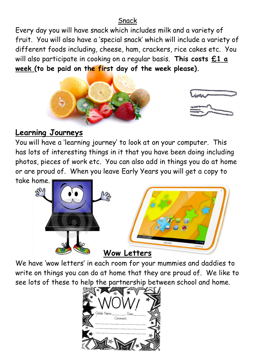#### Snack

Every day you will have snack which includes milk and a variety of fruit. You will also have a 'special snack' which will include a variety of different foods including, cheese, ham, crackers, rice cakes etc. You will also participate in cooking on a regular basis. **This costs £1 a week (to be paid on the first day of the week please).**



### **Learning Journeys**

You will have a 'learning journey' to look at on your computer. This has lots of interesting things in it that you have been doing including photos, pieces of work etc. You can also add in things you do at home or are proud of. When you leave Early Years you will get a copy to take home.



We have 'wow letters' in each room for your mummies and daddies to write on things you can do at home that they are proud of. We like to see lots of these to help the partnership between school and home.

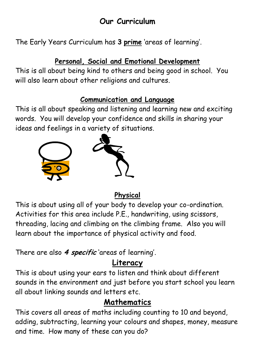# **Our Curriculum**

The Early Years Curriculum has **3 prime** 'areas of learning'.

#### **Personal, Social and Emotional Development**

This is all about being kind to others and being good in school. You will also learn about other religions and cultures.

#### **Communication and Language**

This is all about speaking and listening and learning new and exciting words. You will develop your confidence and skills in sharing your ideas and feelings in a variety of situations.



#### **Physical**

This is about using all of your body to develop your co-ordination. Activities for this area include P.E., handwriting, using scissors, threading, lacing and climbing on the climbing frame. Also you will learn about the importance of physical activity and food.

There are also **4 specific** 'areas of learning'.

# **Literacy**

This is about using your ears to listen and think about different sounds in the environment and just before you start school you learn all about linking sounds and letters etc.

# **Mathematics**

This covers all areas of maths including counting to 10 and beyond, adding, subtracting, learning your colours and shapes, money, measure and time. How many of these can you do?